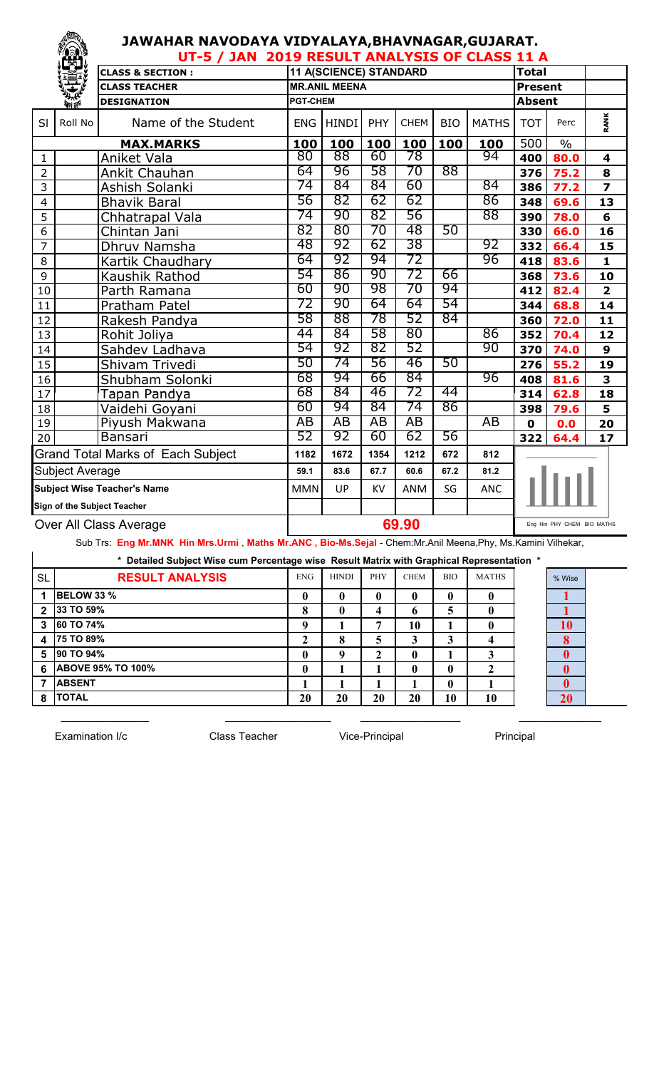## **JAWAHAR NAVODAYA VIDYALAYA,BHAVNAGAR,GUJARAT.**

|                                    | ïÊÏ                          | UT-5 / JAN 2019 RESULT ANALYSIS OF CLASS 11 A         |                 |                      |      |             |               |              |               |      |                         |
|------------------------------------|------------------------------|-------------------------------------------------------|-----------------|----------------------|------|-------------|---------------|--------------|---------------|------|-------------------------|
|                                    |                              | 11 A(SCIENCE) STANDARD<br><b>CLASS &amp; SECTION:</b> |                 |                      |      |             |               |              |               |      |                         |
|                                    |                              | <b>CLASS TEACHER</b>                                  |                 | <b>MR.ANIL MEENA</b> |      |             |               |              |               |      |                         |
|                                    | <b><i><u>Port</u>ing</i></b> | <b>DESIGNATION</b>                                    | <b>PGT-CHEM</b> |                      |      |             | <b>Absent</b> |              |               |      |                         |
| SI                                 | Roll No                      | Name of the Student                                   | <b>ENG</b>      | <b>HINDI</b>         | PHY  | <b>CHEM</b> | <b>BIO</b>    | <b>MATHS</b> | <b>TOT</b>    | Perc | RANK                    |
| <b>MAX.MARKS</b>                   |                              | 100                                                   | 100             | 100                  | 100  | 100         | 100           | 500          | $\frac{0}{0}$ |      |                         |
| $\mathbf{1}$                       |                              | Aniket Vala                                           | 80              | 88                   | 60   | 78          |               | 94           | 400           | 80.0 | 4                       |
| $\overline{2}$                     |                              | Ankit Chauhan                                         | 64              | 96                   | 58   | 70          | 88            |              | 376           | 75.2 | 8                       |
| 3                                  |                              | Ashish Solanki                                        | 74              | 84                   | 84   | 60          |               | 84           | 386           | 77.2 | $\overline{\mathbf{z}}$ |
| $\overline{4}$                     |                              | <b>Bhavik Baral</b>                                   | 56              | 82                   | 62   | 62          |               | 86           | 348           | 69.6 | 13                      |
| 5                                  |                              | Chhatrapal Vala                                       | 74              | 90                   | 82   | 56          |               | 88           | 390           | 78.0 | $6\phantom{1}$          |
| 6                                  |                              | Chintan Jani                                          | 82              | 80                   | 70   | 48          | 50            |              | 330           | 66.0 | 16                      |
| $\overline{7}$                     |                              | Dhruv Namsha                                          | 48              | 92                   | 62   | 38          |               | 92           | 332           | 66.4 | 15                      |
| 8                                  |                              | Kartik Chaudhary                                      | 64              | 92                   | 94   | 72          |               | 96           | 418           | 83.6 | $\mathbf{1}$            |
| 9                                  |                              | Kaushik Rathod                                        | 54              | 86                   | 90   | 72          | 66            |              | 368           | 73.6 | 10                      |
| 10                                 |                              | Parth Ramana                                          | 60              | 90                   | 98   | 70          | 94            |              | 412           | 82.4 | $\overline{\mathbf{2}}$ |
| 11                                 |                              | Pratham Patel                                         | 72              | 90                   | 64   | 64          | 54            |              | 344           | 68.8 | 14                      |
| 12                                 |                              | Rakesh Pandya                                         | 58              | 88                   | 78   | 52          | 84            |              | 360           | 72.0 | 11                      |
| 13                                 |                              | Rohit Joliya                                          | 44              | 84                   | 58   | 80          |               | 86           | 352           | 70.4 | 12                      |
| 14                                 |                              | Sahdev Ladhava                                        | 54              | 92                   | 82   | 52          |               | 90           | 370           | 74.0 | 9                       |
| 15                                 |                              | Shivam Trivedi                                        | 50              | 74                   | 56   | 46          | 50            |              | 276           | 55.2 | 19                      |
| 16                                 |                              | Shubham Solonki                                       | 68              | 94                   | 66   | 84          |               | 96           | 408           | 81.6 | 3                       |
| 17                                 |                              | Tapan Pandya                                          | 68              | 84                   | 46   | 72          | 44            |              | 314           | 62.8 | 18                      |
| 18                                 |                              | Vaidehi Goyani                                        | 60              | 94                   | 84   | 74          | 86            |              | 398           | 79.6 | 5                       |
| 19                                 |                              | Piyush Makwana                                        | AB              | AB                   | AB   | AB          |               | AB           | $\mathbf 0$   | 0.0  | 20                      |
| 20                                 |                              | <b>Bansari</b>                                        | 52              | 92                   | 60   | 62          | 56            |              | 322           | 64.4 | 17                      |
| Grand Total Marks of Each Subject  |                              | 1182                                                  | 1672            | 1354                 | 1212 | 672         | 812           |              |               |      |                         |
| <b>Subject Average</b>             |                              | 59.1                                                  | 83.6            | 67.7                 | 60.6 | 67.2        | 81.2          |              |               |      |                         |
| <b>Subject Wise Teacher's Name</b> |                              | <b>MMN</b>                                            | UP              | <b>KV</b>            | ANM  | SG          | <b>ANC</b>    |              |               |      |                         |
| Sign of the Subject Teacher        |                              |                                                       |                 |                      |      |             |               |              |               |      |                         |
| Over All Class Average             |                              | 69.90<br>Eng Hin PHY CHEM BIO MATHS                   |                 |                      |      |             |               |              |               |      |                         |

Sub Trs: **Eng Mr.MNK Hin Mrs.Urmi** , **Maths Mr.ANC , Bio-Ms.Sejal** - Chem:Mr.Anil Meena,Phy, Ms.Kamini Vilhekar,

 $\_$  , and the set of the set of the set of the set of the set of the set of the set of the set of the set of the set of the set of the set of the set of the set of the set of the set of the set of the set of the set of th

| * Detailed Subject Wise cum Percentage wise Result Matrix with Graphical Representation * |                          |              |              |            |             |                  |              |  |          |  |  |
|-------------------------------------------------------------------------------------------|--------------------------|--------------|--------------|------------|-------------|------------------|--------------|--|----------|--|--|
| <b>SL</b>                                                                                 | <b>RESULT ANALYSIS</b>   | <b>ENG</b>   | <b>HINDI</b> | <b>PHY</b> | <b>CHEM</b> | <b>BIO</b>       | <b>MATHS</b> |  | % Wise   |  |  |
|                                                                                           | <b>BELOW 33 %</b>        | $\mathbf{0}$ | 0            | 0          |             | $\mathbf{0}$     |              |  |          |  |  |
| $\mathbf{2}$                                                                              | 33 TO 59%                |              | 0            | 4          | 6           | 5                |              |  |          |  |  |
| 3                                                                                         | <b>60 TO 74%</b>         | q            |              | 7          | 10          |                  |              |  | 10       |  |  |
| 4                                                                                         | 75 TO 89%                |              | 8            | 5          | 3           | 3                |              |  | 8        |  |  |
| 5                                                                                         | 90 TO 94%                | 0            | q            | າ          |             |                  |              |  | 0        |  |  |
| 6                                                                                         | <b>ABOVE 95% TO 100%</b> | $\mathbf{0}$ |              |            |             | $\mathbf{0}$     |              |  | 0        |  |  |
|                                                                                           | <b>ABSENT</b>            |              |              |            |             | $\boldsymbol{0}$ |              |  | $\bf{0}$ |  |  |
| 8                                                                                         | <b>TOTAL</b>             | 20           | 20           | 20         | 20          | 10               | 10           |  | 20       |  |  |

Examination I/c **Class Teacher** Vice-Principal Principal Principal